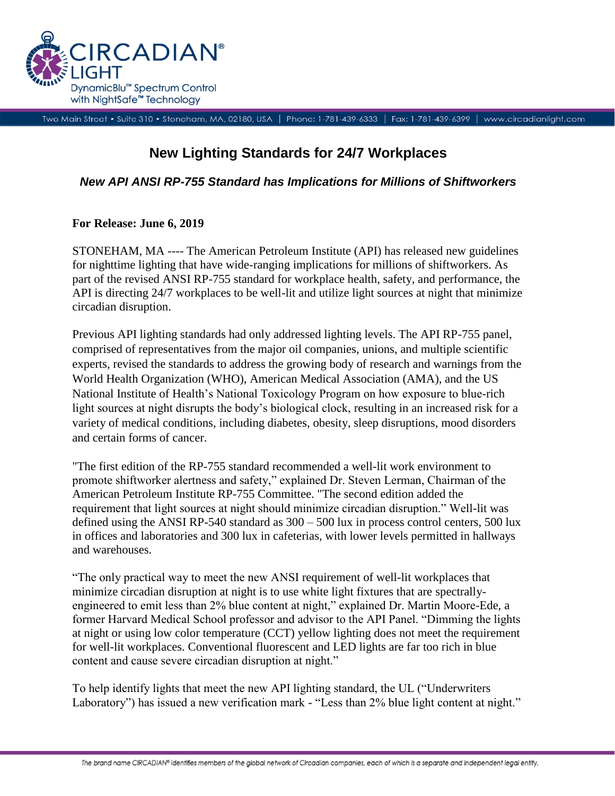

Two Main Street • Suite 310 • Stoneham, MA, 02180, USA | Phone: 1-781-439-6333 | Fax: 1-781-439-6399 | www.circadianlight.com

# **New Lighting Standards for 24/7 Workplaces**

### *New API ANSI RP-755 Standard has Implications for Millions of Shiftworkers*

#### **For Release: June 6, 2019**

STONEHAM, MA ---- The American Petroleum Institute (API) has released new guidelines for nighttime lighting that have wide-ranging implications for millions of shiftworkers. As part of the revised ANSI RP-755 standard for workplace health, safety, and performance, the API is directing 24/7 workplaces to be well-lit and utilize light sources at night that minimize circadian disruption.

Previous API lighting standards had only addressed lighting levels. The API RP-755 panel, comprised of representatives from the major oil companies, unions, and multiple scientific experts, revised the standards to address the growing body of research and warnings from the World Health Organization (WHO), American Medical Association (AMA), and the US National Institute of Health's National Toxicology Program on how exposure to blue-rich light sources at night disrupts the body's biological clock, resulting in an increased risk for a variety of medical conditions, including diabetes, obesity, sleep disruptions, mood disorders and certain forms of cancer.

"The first edition of the RP-755 standard recommended a well-lit work environment to promote shiftworker alertness and safety," explained Dr. Steven Lerman, Chairman of the American Petroleum Institute RP-755 Committee. "The second edition added the requirement that light sources at night should minimize circadian disruption." Well-lit was defined using the ANSI RP-540 standard as  $300 - 500$  lux in process control centers, 500 lux in offices and laboratories and 300 lux in cafeterias, with lower levels permitted in hallways and warehouses.

"The only practical way to meet the new ANSI requirement of well-lit workplaces that minimize circadian disruption at night is to use white light fixtures that are spectrallyengineered to emit less than 2% blue content at night," explained Dr. Martin Moore-Ede, a former Harvard Medical School professor and advisor to the API Panel. "Dimming the lights at night or using low color temperature (CCT) yellow lighting does not meet the requirement for well-lit workplaces. Conventional fluorescent and LED lights are far too rich in blue content and cause severe circadian disruption at night."

To help identify lights that meet the new API lighting standard, the UL ("Underwriters Laboratory") has issued a new verification mark - "Less than 2% blue light content at night."